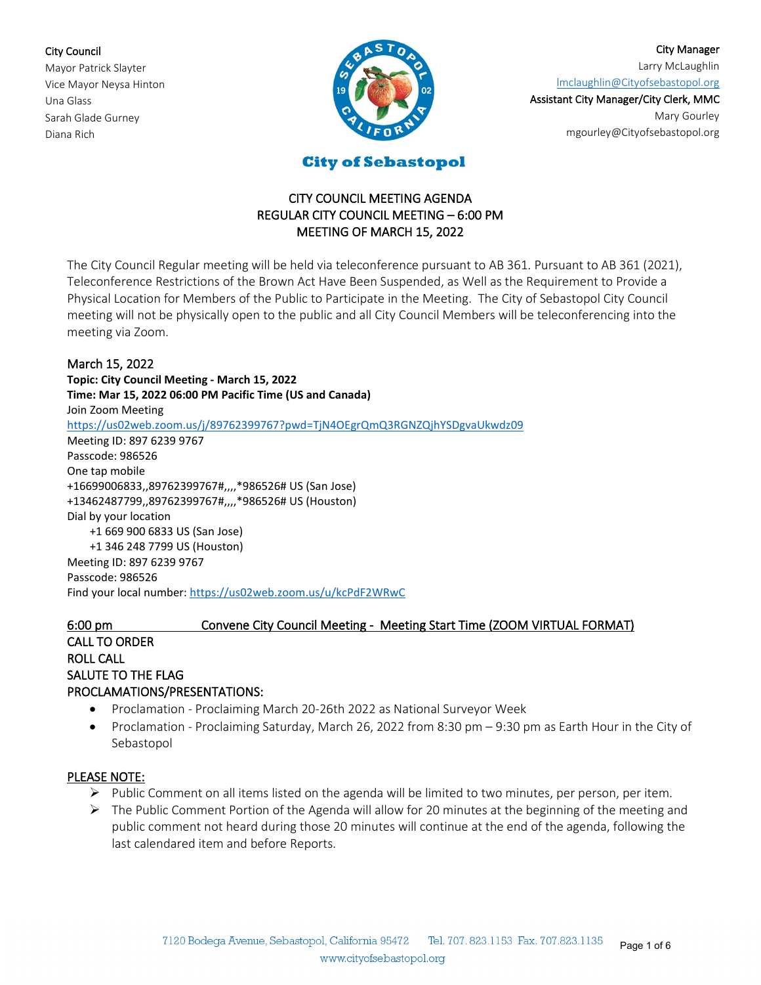#### City Council

Mayor Patrick Slayter Vice Mayor Neysa Hinton Una Glass Sarah Glade Gurney Diana Rich



City Manager Larry McLaughlin [lmclaughlin@Cityofsebastopol.org](mailto:lmclaughlin@cityofsebastopol.org)

Assistant City Manager/City Clerk, MMC Mary Gourley mgourley@Cityofsebastopol.org

**City of Sebastopol** 

## CITY COUNCIL MEETING AGENDA REGULAR CITY COUNCIL MEETING – 6:00 PM MEETING OF MARCH 15, 2022

The City Council Regular meeting will be held via teleconference pursuant to AB 361. Pursuant to AB 361 (2021), Teleconference Restrictions of the Brown Act Have Been Suspended, as Well as the Requirement to Provide a Physical Location for Members of the Public to Participate in the Meeting. The City of Sebastopol City Council meeting will not be physically open to the public and all City Council Members will be teleconferencing into the meeting via Zoom.

### March 15, 2022

**Topic: City Council Meeting - March 15, 2022 Time: Mar 15, 2022 06:00 PM Pacific Time (US and Canada)** Join Zoom Meeting <https://us02web.zoom.us/j/89762399767?pwd=TjN4OEgrQmQ3RGNZQjhYSDgvaUkwdz09> Meeting ID: 897 6239 9767 Passcode: 986526 One tap mobile +16699006833,,89762399767#,,,,\*986526# US (San Jose) +13462487799,,89762399767#,,,,\*986526# US (Houston) Dial by your location +1 669 900 6833 US (San Jose) +1 346 248 7799 US (Houston) Meeting ID: 897 6239 9767 Passcode: 986526 Find your local number[: https://us02web.zoom.us/u/kcPdF2WRwC](https://us02web.zoom.us/u/kcPdF2WRwC)

# 6:00 pm Convene City Council Meeting - Meeting Start Time (ZOOM VIRTUAL FORMAT)

# CALL TO ORDER ROLL CALL SALUTE TO THE FLAG PROCLAMATIONS/PRESENTATIONS:

- Proclamation Proclaiming March 20-26th 2022 as National Surveyor Week
- Proclamation Proclaiming Saturday, March 26, 2022 from 8:30 pm 9:30 pm as Earth Hour in the City of Sebastopol

### PLEASE NOTE:

- $\triangleright$  Public Comment on all items listed on the agenda will be limited to two minutes, per person, per item.
- $\triangleright$  The Public Comment Portion of the Agenda will allow for 20 minutes at the beginning of the meeting and public comment not heard during those 20 minutes will continue at the end of the agenda, following the last calendared item and before Reports.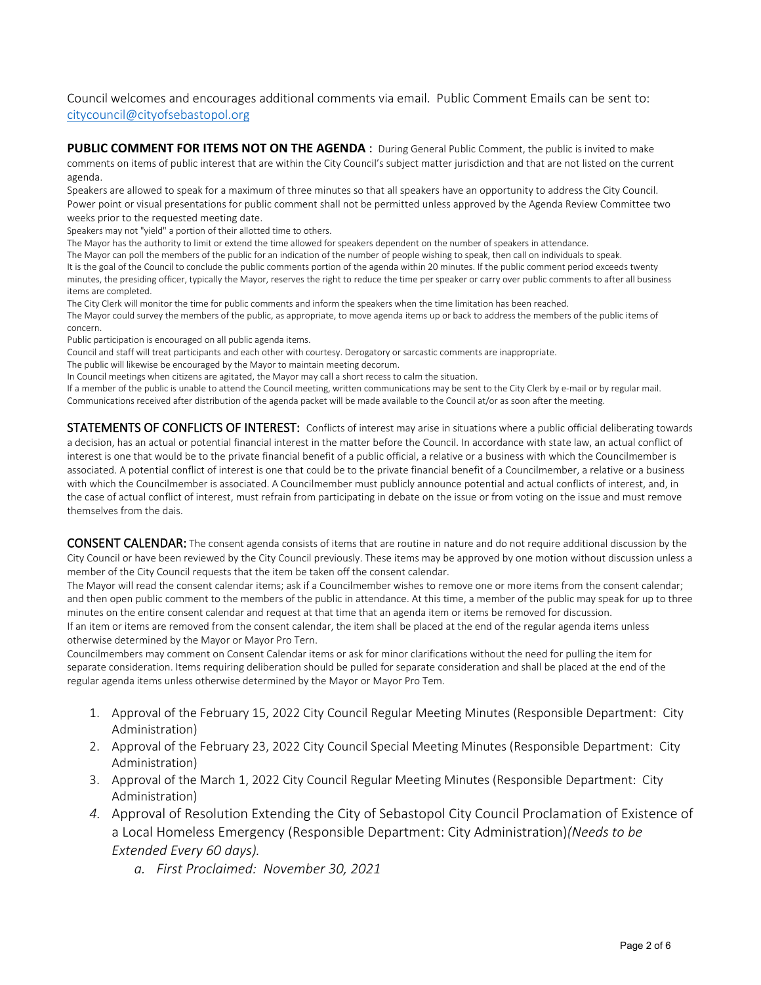#### Council welcomes and encourages additional comments via email. Public Comment Emails can be sent to: [citycouncil@cityofsebastopol.org](mailto:citycouncil@cityofsebastopol.org)

PUBLIC COMMENT FOR ITEMS NOT ON THE AGENDA : During General Public Comment, the public is invited to make comments on items of public interest that are within the City Council's subject matter jurisdiction and that are not listed on the current agenda.

Speakers are allowed to speak for a maximum of three minutes so that all speakers have an opportunity to address the City Council. Power point or visual presentations for public comment shall not be permitted unless approved by the Agenda Review Committee two weeks prior to the requested meeting date.

Speakers may not "yield" a portion of their allotted time to others.

The Mayor has the authority to limit or extend the time allowed for speakers dependent on the number of speakers in attendance.

The Mayor can poll the members of the public for an indication of the number of people wishing to speak, then call on individuals to speak. It is the goal of the Council to conclude the public comments portion of the agenda within 20 minutes. If the public comment period exceeds twenty minutes, the presiding officer, typically the Mayor, reserves the right to reduce the time per speaker or carry over public comments to after all business items are completed.

The City Clerk will monitor the time for public comments and inform the speakers when the time limitation has been reached. The Mayor could survey the members of the public, as appropriate, to move agenda items up or back to address the members of the public items of concern.

Public participation is encouraged on all public agenda items.

Council and staff will treat participants and each other with courtesy. Derogatory or sarcastic comments are inappropriate.

The public will likewise be encouraged by the Mayor to maintain meeting decorum.

In Council meetings when citizens are agitated, the Mayor may call a short recess to calm the situation.

If a member of the public is unable to attend the Council meeting, written communications may be sent to the City Clerk by e-mail or by regular mail. Communications received after distribution of the agenda packet will be made available to the Council at/or as soon after the meeting.

STATEMENTS OF CONFLICTS OF INTEREST: Conflicts of interest may arise in situations where a public official deliberating towards a decision, has an actual or potential financial interest in the matter before the Council. In accordance with state law, an actual conflict of interest is one that would be to the private financial benefit of a public official, a relative or a business with which the Councilmember is associated. A potential conflict of interest is one that could be to the private financial benefit of a Councilmember, a relative or a business with which the Councilmember is associated. A Councilmember must publicly announce potential and actual conflicts of interest, and, in the case of actual conflict of interest, must refrain from participating in debate on the issue or from voting on the issue and must remove themselves from the dais.

CONSENT CALENDAR: The consent agenda consists of items that are routine in nature and do not require additional discussion by the City Council or have been reviewed by the City Council previously. These items may be approved by one motion without discussion unless a member of the City Council requests that the item be taken off the consent calendar.

The Mayor will read the consent calendar items; ask if a Councilmember wishes to remove one or more items from the consent calendar; and then open public comment to the members of the public in attendance. At this time, a member of the public may speak for up to three minutes on the entire consent calendar and request at that time that an agenda item or items be removed for discussion.

If an item or items are removed from the consent calendar, the item shall be placed at the end of the regular agenda items unless otherwise determined by the Mayor or Mayor Pro Tern.

Councilmembers may comment on Consent Calendar items or ask for minor clarifications without the need for pulling the item for separate consideration. Items requiring deliberation should be pulled for separate consideration and shall be placed at the end of the regular agenda items unless otherwise determined by the Mayor or Mayor Pro Tem.

- 1. Approval of the February 15, 2022 City Council Regular Meeting Minutes (Responsible Department: City Administration)
- 2. Approval of the February 23, 2022 City Council Special Meeting Minutes (Responsible Department: City Administration)
- 3. Approval of the March 1, 2022 City Council Regular Meeting Minutes (Responsible Department: City Administration)
- *4.* Approval of Resolution Extending the City of Sebastopol City Council Proclamation of Existence of a Local Homeless Emergency (Responsible Department: City Administration)*(Needs to be Extended Every 60 days).*

*a. First Proclaimed: November 30, 2021*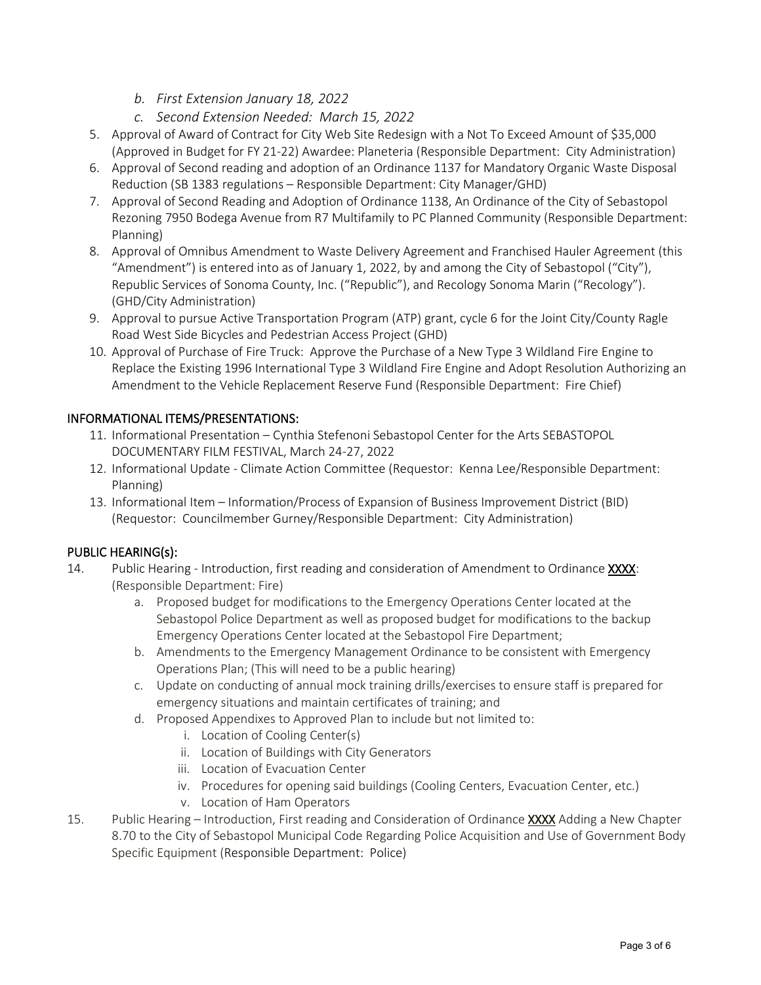- *b. First Extension January 18, 2022*
- *c. Second Extension Needed: March 15, 2022*
- 5. Approval of Award of Contract for City Web Site Redesign with a Not To Exceed Amount of \$35,000 (Approved in Budget for FY 21-22) Awardee: Planeteria (Responsible Department: City Administration)
- 6. Approval of Second reading and adoption of an Ordinance 1137 for Mandatory Organic Waste Disposal Reduction (SB 1383 regulations – Responsible Department: City Manager/GHD)
- 7. Approval of Second Reading and Adoption of Ordinance 1138, An Ordinance of the City of Sebastopol Rezoning 7950 Bodega Avenue from R7 Multifamily to PC Planned Community (Responsible Department: Planning)
- 8. Approval of Omnibus Amendment to Waste Delivery Agreement and Franchised Hauler Agreement (this "Amendment") is entered into as of January 1, 2022, by and among the City of Sebastopol ("City"), Republic Services of Sonoma County, Inc. ("Republic"), and Recology Sonoma Marin ("Recology"). (GHD/City Administration)
- 9. Approval to pursue Active Transportation Program (ATP) grant, cycle 6 for the Joint City/County Ragle Road West Side Bicycles and Pedestrian Access Project (GHD)
- 10. Approval of Purchase of Fire Truck: Approve the Purchase of a New Type 3 Wildland Fire Engine to Replace the Existing 1996 International Type 3 Wildland Fire Engine and Adopt Resolution Authorizing an Amendment to the Vehicle Replacement Reserve Fund (Responsible Department: Fire Chief)

### INFORMATIONAL ITEMS/PRESENTATIONS:

- 11. Informational Presentation Cynthia Stefenoni Sebastopol Center for the Arts SEBASTOPOL DOCUMENTARY FILM FESTIVAL, March 24-27, 2022
- 12. Informational Update Climate Action Committee (Requestor: Kenna Lee/Responsible Department: Planning)
- 13. Informational Item Information/Process of Expansion of Business Improvement District (BID) (Requestor: Councilmember Gurney/Responsible Department: City Administration)

### PUBLIC HEARING(s):

- 14. Public Hearing Introduction, first reading and consideration of Amendment to Ordinance XXXX: (Responsible Department: Fire)
	- a. Proposed budget for modifications to the Emergency Operations Center located at the Sebastopol Police Department as well as proposed budget for modifications to the backup Emergency Operations Center located at the Sebastopol Fire Department;
	- b. Amendments to the Emergency Management Ordinance to be consistent with Emergency Operations Plan; (This will need to be a public hearing)
	- c. Update on conducting of annual mock training drills/exercises to ensure staff is prepared for emergency situations and maintain certificates of training; and
	- d. Proposed Appendixes to Approved Plan to include but not limited to:
		- i. Location of Cooling Center(s)
		- ii. Location of Buildings with City Generators
		- iii. Location of Evacuation Center
		- iv. Procedures for opening said buildings (Cooling Centers, Evacuation Center, etc.)
		- v. Location of Ham Operators
- 15. Public Hearing Introduction, First reading and Consideration of Ordinance XXXX Adding a New Chapter 8.70 to the City of Sebastopol Municipal Code Regarding Police Acquisition and Use of Government Body Specific Equipment (Responsible Department: Police)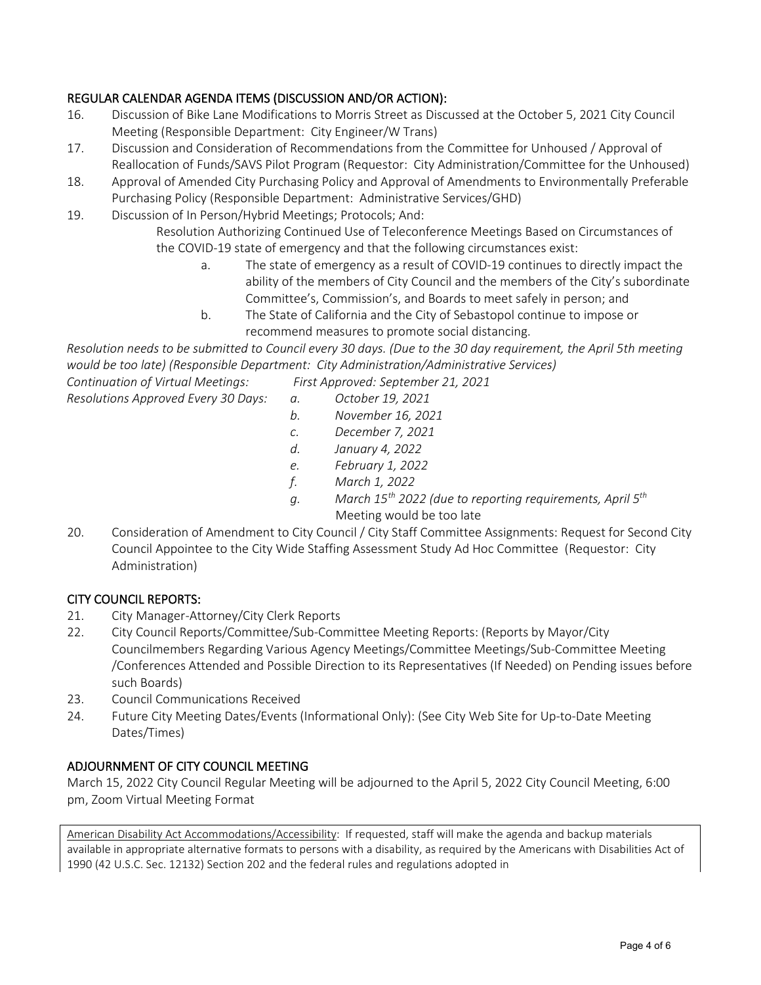## REGULAR CALENDAR AGENDA ITEMS (DISCUSSION AND/OR ACTION):

- 16. Discussion of Bike Lane Modifications to Morris Street as Discussed at the October 5, 2021 City Council Meeting (Responsible Department: City Engineer/W Trans)
- 17. Discussion and Consideration of Recommendations from the Committee for Unhoused / Approval of Reallocation of Funds/SAVS Pilot Program (Requestor: City Administration/Committee for the Unhoused)
- 18. Approval of Amended City Purchasing Policy and Approval of Amendments to Environmentally Preferable Purchasing Policy (Responsible Department: Administrative Services/GHD)
- 19. Discussion of In Person/Hybrid Meetings; Protocols; And:

Resolution Authorizing Continued Use of Teleconference Meetings Based on Circumstances of the COVID-19 state of emergency and that the following circumstances exist:

- a. The state of emergency as a result of COVID-19 continues to directly impact the ability of the members of City Council and the members of the City's subordinate Committee's, Commission's, and Boards to meet safely in person; and
- b. The State of California and the City of Sebastopol continue to impose or recommend measures to promote social distancing.

*Resolution needs to be submitted to Council every 30 days. (Due to the 30 day requirement, the April 5th meeting would be too late) (Responsible Department: City Administration/Administrative Services)*

*Continuation of Virtual Meetings: First Approved: September 21, 2021*

- *Resolutions Approved Every 30 Days: a. October 19, 2021*
	- *b. November 16, 2021*
	- *c. December 7, 2021*
	- *d. January 4, 2022*
	- *e. February 1, 2022*
	- *f. March 1, 2022*
	- *g. March 15th 2022 (due to reporting requirements, April 5th* Meeting would be too late
- 20. Consideration of Amendment to City Council / City Staff Committee Assignments: Request for Second City Council Appointee to the City Wide Staffing Assessment Study Ad Hoc Committee (Requestor: City Administration)

### CITY COUNCIL REPORTS:

- 21. City Manager-Attorney/City Clerk Reports
- 22. City Council Reports/Committee/Sub-Committee Meeting Reports: (Reports by Mayor/City Councilmembers Regarding Various Agency Meetings/Committee Meetings/Sub-Committee Meeting /Conferences Attended and Possible Direction to its Representatives (If Needed) on Pending issues before such Boards)
- 23. Council Communications Received
- 24. Future City Meeting Dates/Events (Informational Only): (See City Web Site for Up-to-Date Meeting Dates/Times)

### ADJOURNMENT OF CITY COUNCIL MEETING

March 15, 2022 City Council Regular Meeting will be adjourned to the April 5, 2022 City Council Meeting, 6:00 pm, Zoom Virtual Meeting Format

American Disability Act Accommodations/Accessibility: If requested, staff will make the agenda and backup materials available in appropriate alternative formats to persons with a disability, as required by the Americans with Disabilities Act of 1990 (42 U.S.C. Sec. 12132) Section 202 and the federal rules and regulations adopted in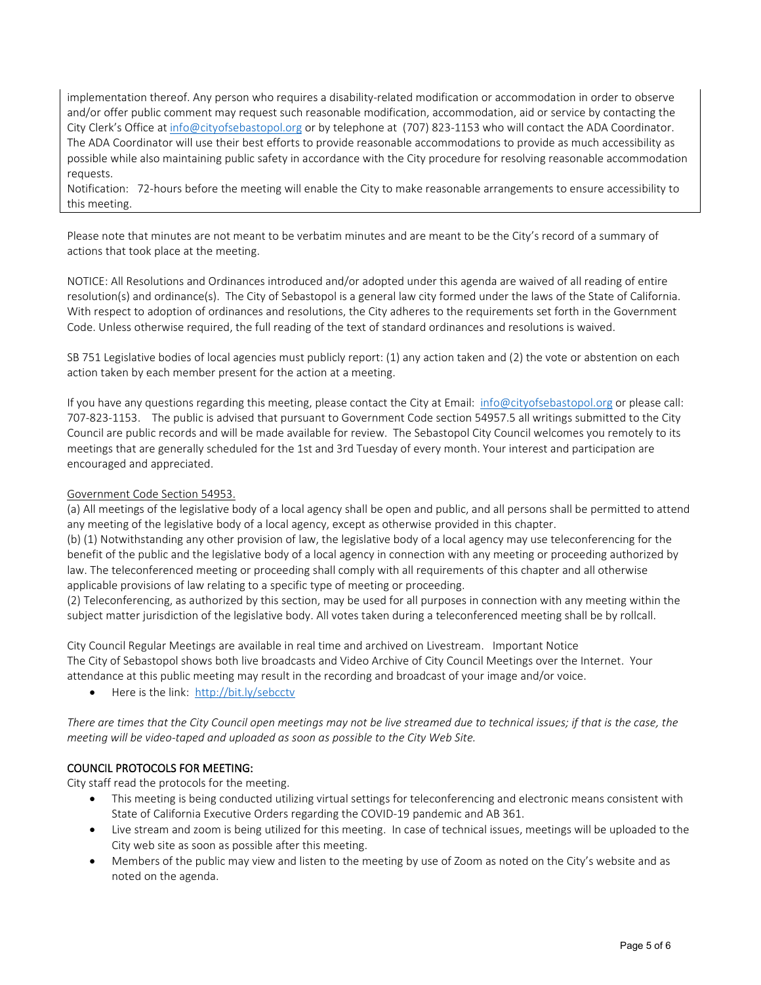implementation thereof. Any person who requires a disability-related modification or accommodation in order to observe and/or offer public comment may request such reasonable modification, accommodation, aid or service by contacting the City Clerk's Office at [info@cityofsebastopol.org](mailto:info@cityofsebastopol.org) or by telephone at (707) 823-1153 who will contact the ADA Coordinator. The ADA Coordinator will use their best efforts to provide reasonable accommodations to provide as much accessibility as possible while also maintaining public safety in accordance with the City procedure for resolving reasonable accommodation requests.

Notification: 72-hours before the meeting will enable the City to make reasonable arrangements to ensure accessibility to this meeting.

Please note that minutes are not meant to be verbatim minutes and are meant to be the City's record of a summary of actions that took place at the meeting.

NOTICE: All Resolutions and Ordinances introduced and/or adopted under this agenda are waived of all reading of entire resolution(s) and ordinance(s). The City of Sebastopol is a general law city formed under the laws of the State of California. With respect to adoption of ordinances and resolutions, the City adheres to the requirements set forth in the Government Code. Unless otherwise required, the full reading of the text of standard ordinances and resolutions is waived.

SB 751 Legislative bodies of local agencies must publicly report: (1) any action taken and (2) the vote or abstention on each action taken by each member present for the action at a meeting.

If you have any questions regarding this meeting, please contact the City at Email: [info@cityofsebastopol.org](mailto:info@cityofsebastopol.org) or please call: 707-823-1153. The public is advised that pursuant to Government Code section 54957.5 all writings submitted to the City Council are public records and will be made available for review. The Sebastopol City Council welcomes you remotely to its meetings that are generally scheduled for the 1st and 3rd Tuesday of every month. Your interest and participation are encouraged and appreciated.

#### Government Code Section 54953.

(a) All meetings of the legislative body of a local agency shall be open and public, and all persons shall be permitted to attend any meeting of the legislative body of a local agency, except as otherwise provided in this chapter.

(b) (1) Notwithstanding any other provision of law, the legislative body of a local agency may use teleconferencing for the benefit of the public and the legislative body of a local agency in connection with any meeting or proceeding authorized by law. The teleconferenced meeting or proceeding shall comply with all requirements of this chapter and all otherwise applicable provisions of law relating to a specific type of meeting or proceeding.

(2) Teleconferencing, as authorized by this section, may be used for all purposes in connection with any meeting within the subject matter jurisdiction of the legislative body. All votes taken during a teleconferenced meeting shall be by rollcall.

City Council Regular Meetings are available in real time and archived on Livestream. Important Notice The City of Sebastopol shows both live broadcasts and Video Archive of City Council Meetings over the Internet. Your attendance at this public meeting may result in the recording and broadcast of your image and/or voice.

• Here is the link: <http://bit.ly/sebcctv>

*There are times that the City Council open meetings may not be live streamed due to technical issues; if that is the case, the meeting will be video-taped and uploaded as soon as possible to the City Web Site.*

#### COUNCIL PROTOCOLS FOR MEETING:

City staff read the protocols for the meeting.

- This meeting is being conducted utilizing virtual settings for teleconferencing and electronic means consistent with State of California Executive Orders regarding the COVID-19 pandemic and AB 361.
- Live stream and zoom is being utilized for this meeting. In case of technical issues, meetings will be uploaded to the City web site as soon as possible after this meeting.
- Members of the public may view and listen to the meeting by use of Zoom as noted on the City's website and as noted on the agenda.